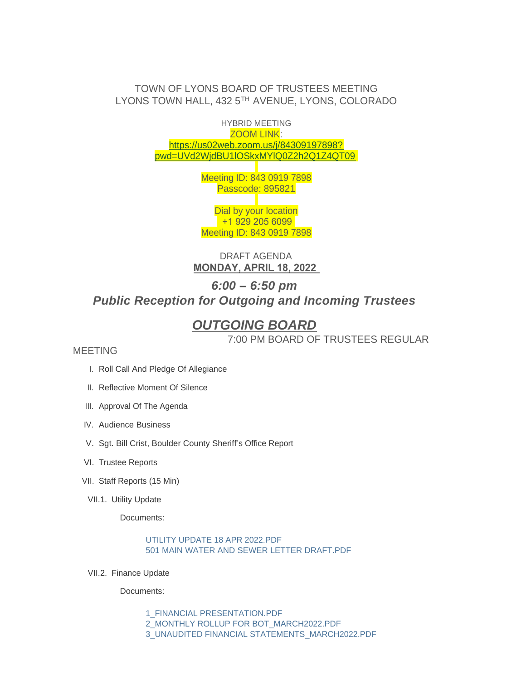# TOWN OF LYONS BOARD OF TRUSTEES MEETING LYONS TOWN HALL, 432 5TH AVENUE, LYONS, COLORADO

HYBRID MEETING ZOOM LINK: https://us02web.zoom.us/j/84309197898? pw[d=UVd2WjdBU1lOSkxMYlQ0Z2h2Q1Z4QT09](https://us02web.zoom.us/j/84309197898?pwd=UVd2WjdBU1lOSkxMYlQ0Z2h2Q1Z4QT09)

> Meeting ID: 843 0919 7898 Passcode: 895821

Dial by your location +1 929 205 6099 Meeting ID: 843 0919 7898

DRAFT AGENDA **MONDAY, APRIL 18, 2022** 

# *6:00 – 6:50 pm Public Reception for Outgoing and Incoming Trustees*

# *OUTGOING BOARD*

7:00 PM BOARD OF TRUSTEES REGULAR

# MEETING

- I. Roll Call And Pledge Of Allegiance
- II. Reflective Moment Of Silence
- III. Approval Of The Agenda
- IV. Audience Business
- V. Sgt. Bill Crist, Boulder County Sheriff's Office Report
- VI. Trustee Reports
- VII. Staff Reports (15 Min)
- VII.1. Utility Update

Documents:

[UTILITY UPDATE 18 APR 2022.PDF](https://www.townoflyons.com/AgendaCenter/ViewFile/Item/10070?fileID=21013) [501 MAIN WATER AND SEWER LETTER DRAFT.PDF](https://www.townoflyons.com/AgendaCenter/ViewFile/Item/10070?fileID=21012)

VII.2. Finance Update

Documents:

[1\\_FINANCIAL PRESENTATION.PDF](https://www.townoflyons.com/AgendaCenter/ViewFile/Item/10071?fileID=21002) [2\\_MONTHLY ROLLUP FOR BOT\\_MARCH2022.PDF](https://www.townoflyons.com/AgendaCenter/ViewFile/Item/10071?fileID=21000) [3\\_UNAUDITED FINANCIAL STATEMENTS\\_MARCH2022.PDF](https://www.townoflyons.com/AgendaCenter/ViewFile/Item/10071?fileID=21001)